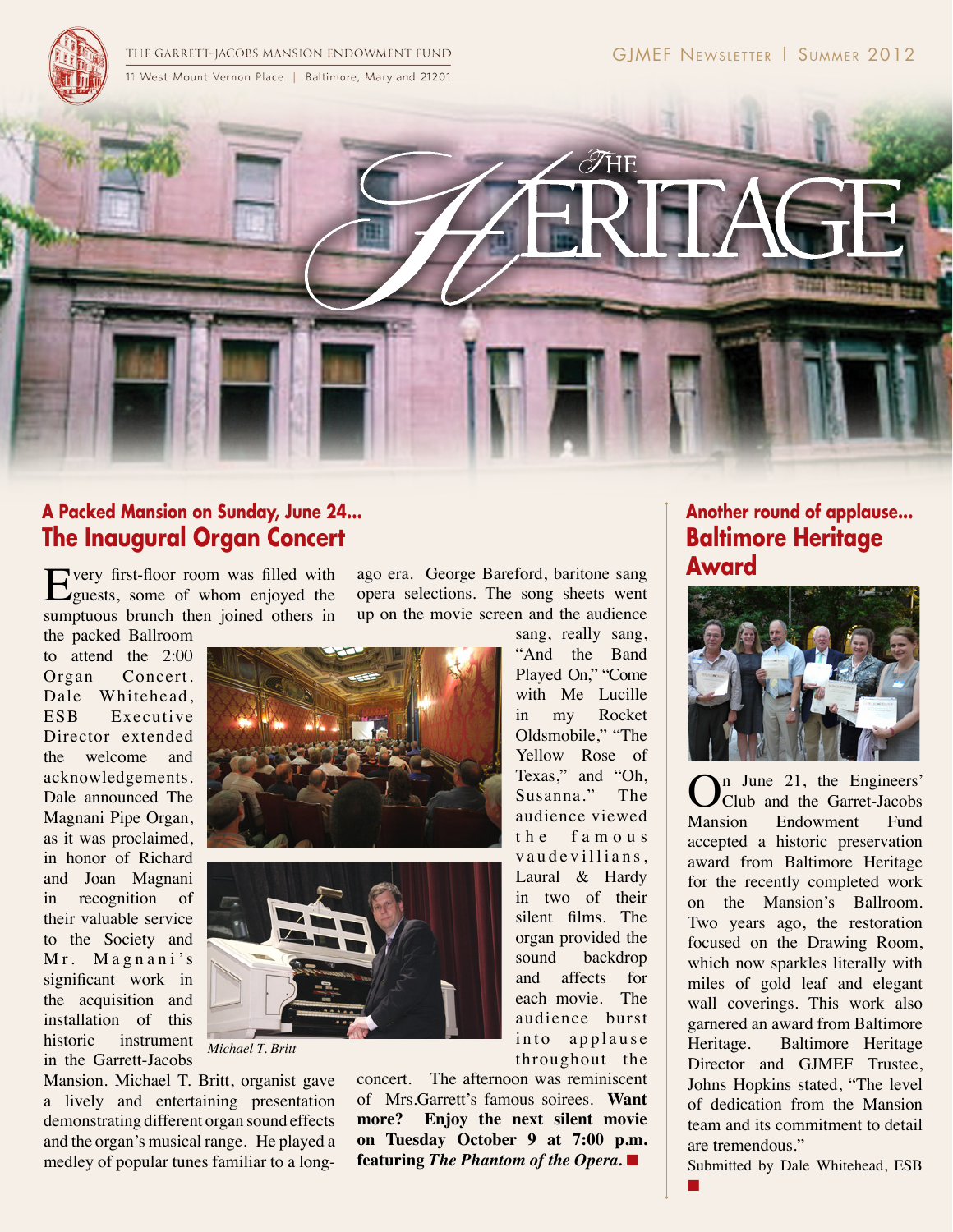THE GARRETT-JACOBS MANSION ENDOWMENT FUND 11 West Mount Vernon Place | Baltimore, Maryland 21201



### **A Packed Mansion on Sunday, June 24... The Inaugural Organ Concert**

Every first-floor room was filled with guests, some of whom enjoyed the sumptuous brunch then joined others in

the packed Ballroom to attend the 2:00 Organ Concert. Dale Whitehead, ESB Executive Director extended the welcome and acknowledgements. Dale announced The Magnani Pipe Organ, as it was proclaimed, in honor of Richard and Joan Magnani in recognition of their valuable service to the Society and Mr. Magnani's significant work in the acquisition and installation of this historic instrument in the Garrett-Jacobs





*Michael T. Britt*

Mansion. Michael T. Britt, organist gave a lively and entertaining presentation demonstrating different organ sound effects and the organ's musical range. He played a medley of popular tunes familiar to a longago era. George Bareford, baritone sang opera selections. The song sheets went up on the movie screen and the audience sang, really sang,

> "And the Band Played On," "Come with Me Lucille in my Rocket Oldsmobile," "The Yellow Rose of Texas," and "Oh, Susanna." The audience viewed t h e f a m o u s vaudevillians, Laural & Hardy in two of their silent films. The organ provided the sound backdrop and affects for each movie. The audience burst into applause throughout the

concert. The afternoon was reminiscent of Mrs.Garrett's famous soirees. **Want more? Enjoy the next silent movie on Tuesday October 9 at 7:00 p.m. featuring** *The Phantom of the Opera.* ■

# **Another round of applause... Baltimore Heritage Award**



 $\sum_{\text{Club and the Garret-Jacobs}}^{\text{n June 21, the Engineers'}$ <br>Mansion Endowment Fund Club and the Garret-Jacobs Endowment accepted a historic preservation award from Baltimore Heritage for the recently completed work on the Mansion's Ballroom. Two years ago, the restoration focused on the Drawing Room, which now sparkles literally with miles of gold leaf and elegant wall coverings. This work also garnered an award from Baltimore Heritage. Baltimore Heritage Director and GJMEF Trustee, Johns Hopkins stated, "The level of dedication from the Mansion team and its commitment to detail are tremendous."

Submitted by Dale Whitehead, ESB

■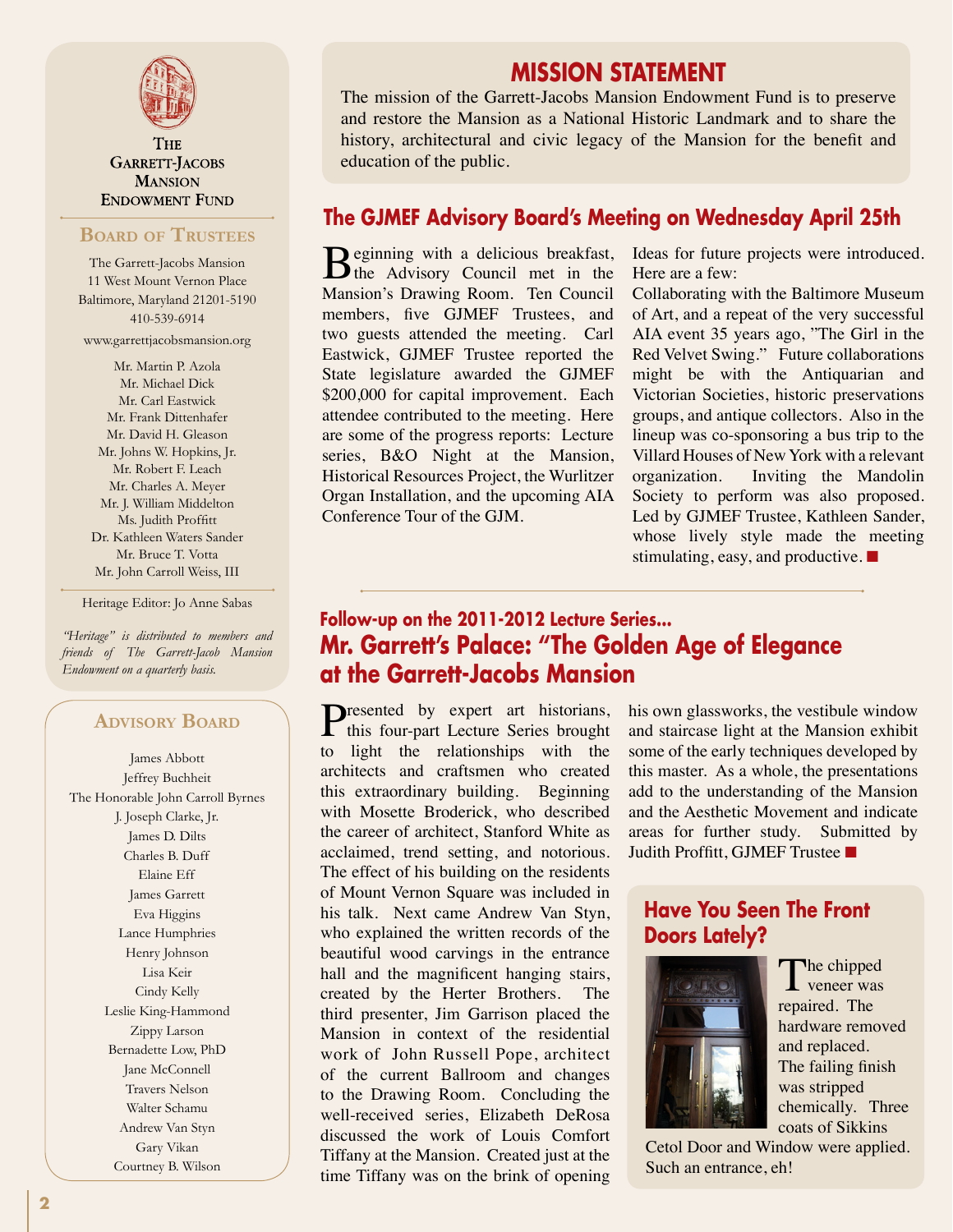

**THE** GARRETT-JACOBS **MANSION ENDOWMENT FUND** 

#### **Board of Trustees**

The Garrett-Jacobs Mansion 11 West Mount Vernon Place Baltimore, Maryland 21201-5190 410-539-6914 www.garrettjacobsmansion.org

Mr. Martin P. Azola Mr. Michael Dick Mr. Carl Eastwick Mr. Frank Dittenhafer Mr. David H. Gleason Mr. Johns W. Hopkins, Jr. Mr. Robert F. Leach Mr. Charles A. Meyer Mr. J. William Middelton Ms. Judith Proffitt Dr. Kathleen Waters Sander Mr. Bruce T. Votta Mr. John Carroll Weiss, III

Heritage Editor: Jo Anne Sabas

*"Heritage" is distributed to members and friends of The Garrett-Jacob Mansion Endowment on a quarterly basis.*

#### **Advisory Board**

James Abbott Jeffrey Buchheit The Honorable John Carroll Byrnes J. Joseph Clarke, Jr. James D. Dilts Charles B. Duff Elaine Eff James Garrett Eva Higgins Lance Humphries Henry Johnson Lisa Keir Cindy Kelly Leslie King-Hammond Zippy Larson Bernadette Low, PhD Jane McConnell Travers Nelson Walter Schamu Andrew Van Styn Gary Vikan Courtney B. Wilson

### **MISSION STATEMENT**

The mission of the Garrett-Jacobs Mansion Endowment Fund is to preserve and restore the Mansion as a National Historic Landmark and to share the history, architectural and civic legacy of the Mansion for the benefit and education of the public.

#### **The GJMEF Advisory Board's Meeting on Wednesday April 25th**

Beginning with a delicious breakfast,<br>the Advisory Council met in the Mansion's Drawing Room. Ten Council members, five GJMEF Trustees, and two guests attended the meeting. Carl Eastwick, GJMEF Trustee reported the State legislature awarded the GJMEF \$200,000 for capital improvement. Each attendee contributed to the meeting. Here are some of the progress reports: Lecture series, B&O Night at the Mansion, Historical Resources Project, the Wurlitzer Organ Installation, and the upcoming AIA Conference Tour of the GJM.

Ideas for future projects were introduced. Here are a few:

Collaborating with the Baltimore Museum of Art, and a repeat of the very successful AIA event 35 years ago, "The Girl in the Red Velvet Swing." Future collaborations might be with the Antiquarian and Victorian Societies, historic preservations groups, and antique collectors. Also in the lineup was co-sponsoring a bus trip to the Villard Houses of New York with a relevant organization. Inviting the Mandolin Society to perform was also proposed. Led by GJMEF Trustee, Kathleen Sander, whose lively style made the meeting stimulating, easy, and productive. ■

### **Follow-up on the 2011-2012 Lecture Series... Mr. Garrett's Palace: "The Golden Age of Elegance at the Garrett-Jacobs Mansion**

Presented by expert art historians,<br>this four-part Lecture Series brought to light the relationships with the architects and craftsmen who created this extraordinary building. Beginning with Mosette Broderick, who described the career of architect, Stanford White as acclaimed, trend setting, and notorious. The effect of his building on the residents of Mount Vernon Square was included in his talk. Next came Andrew Van Styn, who explained the written records of the beautiful wood carvings in the entrance hall and the magnificent hanging stairs, created by the Herter Brothers. The third presenter, Jim Garrison placed the Mansion in context of the residential work of John Russell Pope, architect of the current Ballroom and changes to the Drawing Room. Concluding the well-received series, Elizabeth DeRosa discussed the work of Louis Comfort Tiffany at the Mansion. Created just at the time Tiffany was on the brink of opening

his own glassworks, the vestibule window and staircase light at the Mansion exhibit some of the early techniques developed by this master. As a whole, the presentations add to the understanding of the Mansion and the Aesthetic Movement and indicate areas for further study. Submitted by Judith Proffitt, GJMEF Trustee ■

#### **Have You Seen The Front Doors Lately?**



The chipped  $\mathbf 1$  veneer was repaired. The hardware removed and replaced. The failing finish was stripped chemically. Three coats of Sikkins

Cetol Door and Window were applied. Such an entrance, eh!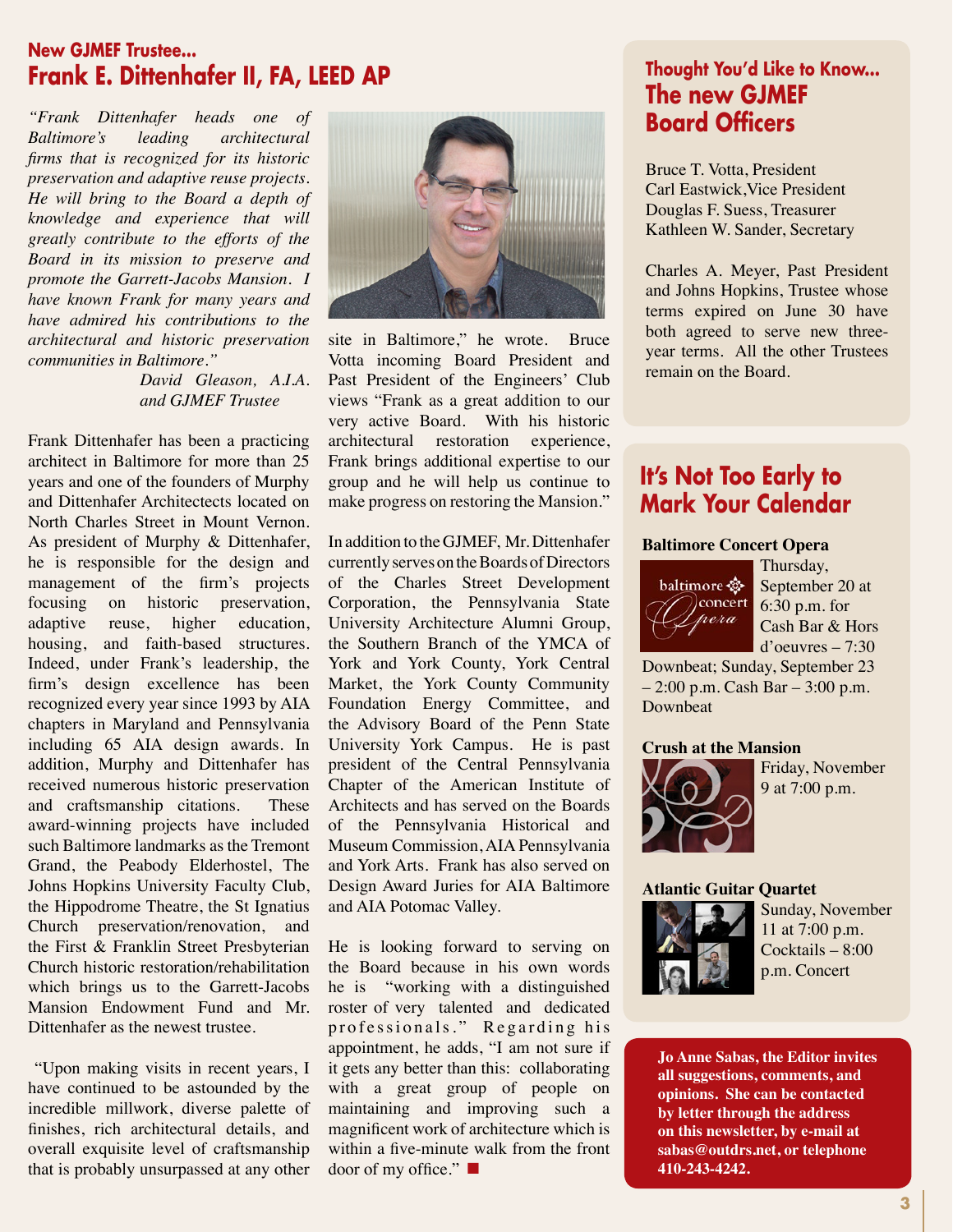### **New GJMEF Trustee... Frank E. Dittenhafer II, FA, LEED AP**

*"Frank Dittenhafer heads one of Baltimore's leading architectural firms that is recognized for its historic preservation and adaptive reuse projects. He will bring to the Board a depth of knowledge and experience that will greatly contribute to the efforts of the Board in its mission to preserve and promote the Garrett-Jacobs Mansion. I have known Frank for many years and have admired his contributions to the architectural and historic preservation communities in Baltimore."*

> *David Gleason, A.I.A. and GJMEF Trustee*

Frank Dittenhafer has been a practicing architect in Baltimore for more than 25 years and one of the founders of Murphy and Dittenhafer Architectects located on North Charles Street in Mount Vernon. As president of Murphy & Dittenhafer, he is responsible for the design and management of the firm's projects focusing on historic preservation, adaptive reuse, higher education, housing, and faith-based structures. Indeed, under Frank's leadership, the firm's design excellence has been recognized every year since 1993 by AIA chapters in Maryland and Pennsylvania including 65 AIA design awards. In addition, Murphy and Dittenhafer has received numerous historic preservation and craftsmanship citations. These award-winning projects have included such Baltimore landmarks as the Tremont Grand, the Peabody Elderhostel, The Johns Hopkins University Faculty Club, the Hippodrome Theatre, the St Ignatius Church preservation/renovation, and the First & Franklin Street Presbyterian Church historic restoration/rehabilitation which brings us to the Garrett-Jacobs Mansion Endowment Fund and Mr. Dittenhafer as the newest trustee.

 "Upon making visits in recent years, I have continued to be astounded by the incredible millwork, diverse palette of finishes, rich architectural details, and overall exquisite level of craftsmanship that is probably unsurpassed at any other



site in Baltimore," he wrote. Bruce Votta incoming Board President and Past President of the Engineers' Club views "Frank as a great addition to our very active Board. With his historic architectural restoration experience, Frank brings additional expertise to our group and he will help us continue to make progress on restoring the Mansion."

In addition to the GJMEF, Mr. Dittenhafer currently serves on the Boards of Directors of the Charles Street Development Corporation, the Pennsylvania State University Architecture Alumni Group, the Southern Branch of the YMCA of York and York County, York Central Market, the York County Community Foundation Energy Committee, and the Advisory Board of the Penn State University York Campus. He is past president of the Central Pennsylvania Chapter of the American Institute of Architects and has served on the Boards of the Pennsylvania Historical and Museum Commission, AIA Pennsylvania and York Arts. Frank has also served on Design Award Juries for AIA Baltimore and AIA Potomac Valley.

He is looking forward to serving on the Board because in his own words he is "working with a distinguished roster of very talented and dedicated professionals." Regarding his appointment, he adds, "I am not sure if it gets any better than this: collaborating with a great group of people on maintaining and improving such a magnificent work of architecture which is within a five-minute walk from the front door of my office." ■

# **Thought You'd Like to Know... The new GJMEF Board Officers**

Bruce T. Votta, President Carl Eastwick,Vice President Douglas F. Suess, Treasurer Kathleen W. Sander, Secretary

Charles A. Meyer, Past President and Johns Hopkins, Trustee whose terms expired on June 30 have both agreed to serve new threeyear terms. All the other Trustees remain on the Board.

# **It's Not Too Early to Mark Your Calendar**

#### **Baltimore Concert Opera**



Thursday, September 20 at 6:30 p.m. for Cash Bar & Hors d'oeuvres – 7:30

Downbeat; Sunday, September 23 – 2:00 p.m. Cash Bar – 3:00 p.m. Downbeat

#### **Crush at the Mansion**



Friday, November 9 at 7:00 p.m.

#### **Atlantic Guitar Quartet**



Sunday, November 11 at 7:00 p.m. Cocktails – 8:00 p.m. Concert

**Jo Anne Sabas, the Editor invites all suggestions, comments, and opinions. She can be contacted by letter through the address on this newsletter, by e-mail at sabas@outdrs.net, or telephone 410-243-4242.**